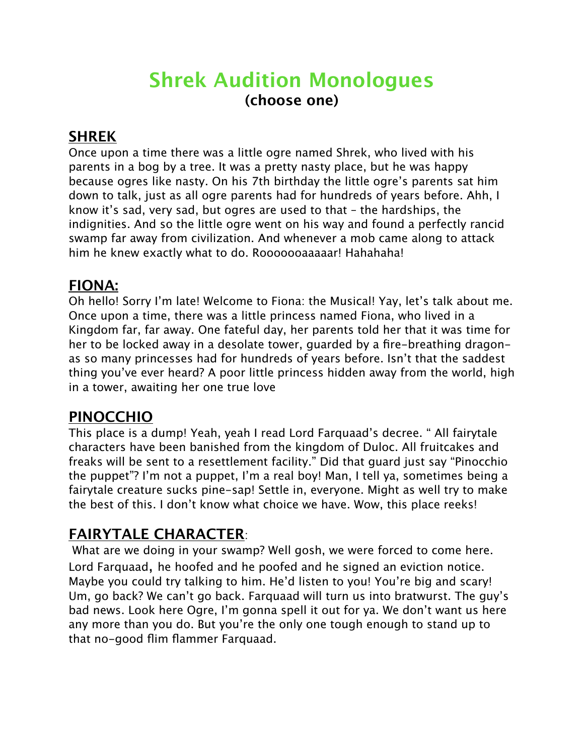# **Shrek Audition Monologues (choose one)**

#### **SHREK**

Once upon a time there was a little ogre named Shrek, who lived with his parents in a bog by a tree. It was a pretty nasty place, but he was happy because ogres like nasty. On his 7th birthday the little ogre's parents sat him down to talk, just as all ogre parents had for hundreds of years before. Ahh, I know it's sad, very sad, but ogres are used to that – the hardships, the indignities. And so the little ogre went on his way and found a perfectly rancid swamp far away from civilization. And whenever a mob came along to attack him he knew exactly what to do. Rooooooaaaaar! Hahahaha!

#### **FIONA:**

Oh hello! Sorry I'm late! Welcome to Fiona: the Musical! Yay, let's talk about me. Once upon a time, there was a little princess named Fiona, who lived in a Kingdom far, far away. One fateful day, her parents told her that it was time for her to be locked away in a desolate tower, guarded by a fire-breathing dragonas so many princesses had for hundreds of years before. Isn't that the saddest thing you've ever heard? A poor little princess hidden away from the world, high in a tower, awaiting her one true love

#### **PINOCCHIO**

This place is a dump! Yeah, yeah I read Lord Farquaad's decree. " All fairytale characters have been banished from the kingdom of Duloc. All fruitcakes and freaks will be sent to a resettlement facility." Did that guard just say "Pinocchio the puppet"? I'm not a puppet, I'm a real boy! Man, I tell ya, sometimes being a fairytale creature sucks pine-sap! Settle in, everyone. Might as well try to make the best of this. I don't know what choice we have. Wow, this place reeks!

#### **FAIRYTALE CHARACTER**:

 What are we doing in your swamp? Well gosh, we were forced to come here. Lord Farquaad, he hoofed and he poofed and he signed an eviction notice. Maybe you could try talking to him. He'd listen to you! You're big and scary! Um, go back? We can't go back. Farquaad will turn us into bratwurst. The guy's bad news. Look here Ogre, I'm gonna spell it out for ya. We don't want us here any more than you do. But you're the only one tough enough to stand up to that no-good flim flammer Farquaad.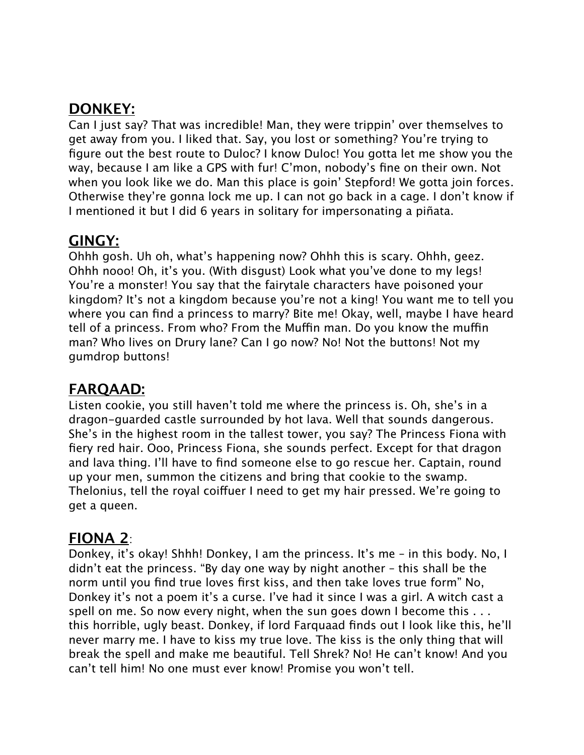# **DONKEY:**

Can I just say? That was incredible! Man, they were trippin' over themselves to get away from you. I liked that. Say, you lost or something? You're trying to figure out the best route to Duloc? I know Duloc! You gotta let me show you the way, because I am like a GPS with fur! C'mon, nobody's fine on their own. Not when you look like we do. Man this place is goin' Stepford! We gotta join forces. Otherwise they're gonna lock me up. I can not go back in a cage. I don't know if I mentioned it but I did 6 years in solitary for impersonating a piñata.

## **GINGY:**

Ohhh gosh. Uh oh, what's happening now? Ohhh this is scary. Ohhh, geez. Ohhh nooo! Oh, it's you. (With disgust) Look what you've done to my legs! You're a monster! You say that the fairytale characters have poisoned your kingdom? It's not a kingdom because you're not a king! You want me to tell you where you can find a princess to marry? Bite me! Okay, well, maybe I have heard tell of a princess. From who? From the Muffin man. Do you know the muffin man? Who lives on Drury lane? Can I go now? No! Not the buttons! Not my gumdrop buttons!

# **FARQAAD:**

Listen cookie, you still haven't told me where the princess is. Oh, she's in a dragon-guarded castle surrounded by hot lava. Well that sounds dangerous. She's in the highest room in the tallest tower, you say? The Princess Fiona with fiery red hair. Ooo, Princess Fiona, she sounds perfect. Except for that dragon and lava thing. I'll have to find someone else to go rescue her. Captain, round up your men, summon the citizens and bring that cookie to the swamp. Thelonius, tell the royal coiffuer I need to get my hair pressed. We're going to get a queen.

## **FIONA 2**:

Donkey, it's okay! Shhh! Donkey, I am the princess. It's me – in this body. No, I didn't eat the princess. "By day one way by night another – this shall be the norm until you find true loves first kiss, and then take loves true form" No, Donkey it's not a poem it's a curse. I've had it since I was a girl. A witch cast a spell on me. So now every night, when the sun goes down I become this . . . this horrible, ugly beast. Donkey, if lord Farquaad finds out I look like this, he'll never marry me. I have to kiss my true love. The kiss is the only thing that will break the spell and make me beautiful. Tell Shrek? No! He can't know! And you can't tell him! No one must ever know! Promise you won't tell.